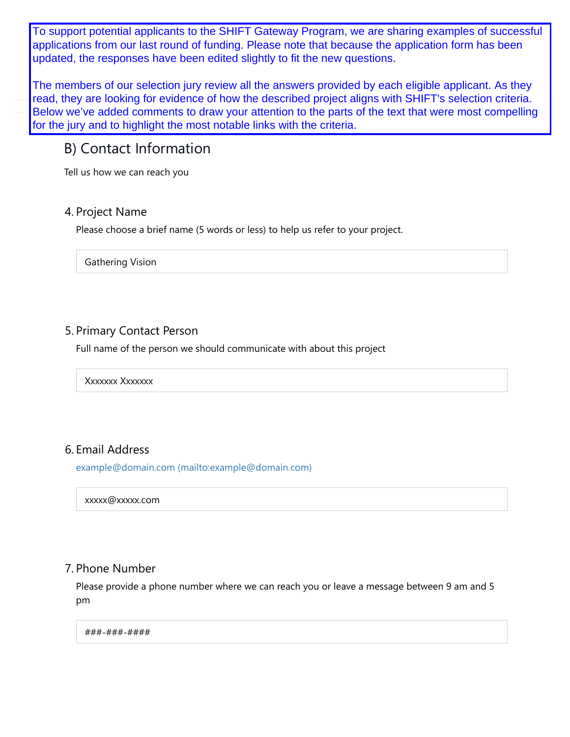applications from our last round of funding. Please note that because the application form has been To support potential applicants to the SHIFT Gateway Program, we are sharing examples of successful updated, the responses have been edited slightly to fit the new questions.

The members of our selection jury review all the answers provided by each eligible applicant. As they read, they are looking for evidence of how the described project aligns with SHIFT's selection criteria. Below we've added comments to draw your attention to the parts of the text that were most compelling for the jury and to highlight the most notable links with the criteria.

## B) Contact Information

Tell us how we can reach you

#### 4. Project Name

Please choose a brief name (5 words or less) to help us refer to your project.

Gathering Vision

### 5. Primary Contact Person

Full name of the person we should communicate with about this project

Xxxxxxx Xxxxxxx

## 6. Email Address

example@domain.com (mailto:example@domain.com)

xxxxx@xxxxx.com

#### 7. Phone Number

Please provide a phone number where we can reach you or leave a message between 9 am and 5 pm

###-###-####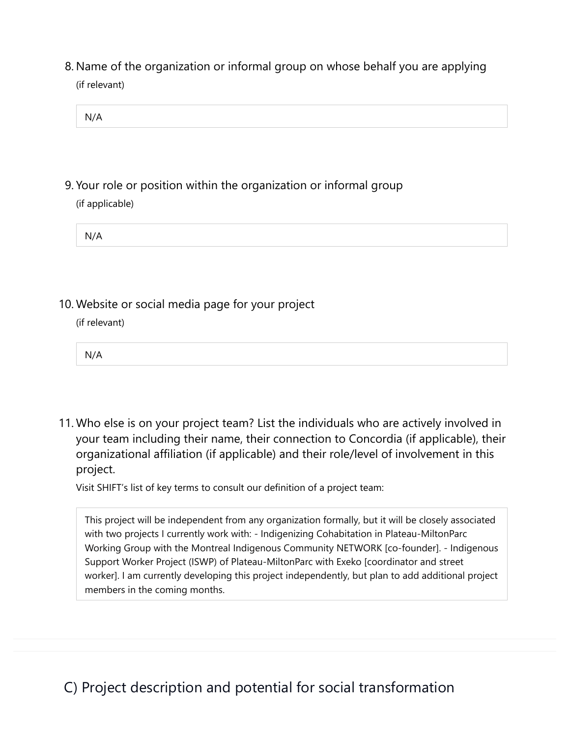(if relevant) 8. Name of the organization or informal group on whose behalf you are applying

| NI/A<br>. |  |  |
|-----------|--|--|

(if applicable) 9. Your role or position within the organization or informal group

| N/A |
|-----|
|-----|

10. Website or social media page for your project

(if relevant)

N/A

11. Who else is on your project team? List the individuals who are actively involved in your team including their name, their connection to Concordia (if applicable), their organizational affiliation (if applicable) and their role/level of involvement in this project.

Visit SHIFT's list of key terms to consult our definition of a project team:

This project will be independent from any organization formally, but it will be closely associated with two projects I currently work with: - Indigenizing Cohabitation in Plateau-MiltonParc Working Group with the Montreal Indigenous Community NETWORK [co-founder]. - Indigenous Support Worker Project (ISWP) of Plateau-MiltonParc with Exeko [coordinator and street worker]. I am currently developing this project independently, but plan to add additional project members in the coming months.

# C) Project description and potential for social transformation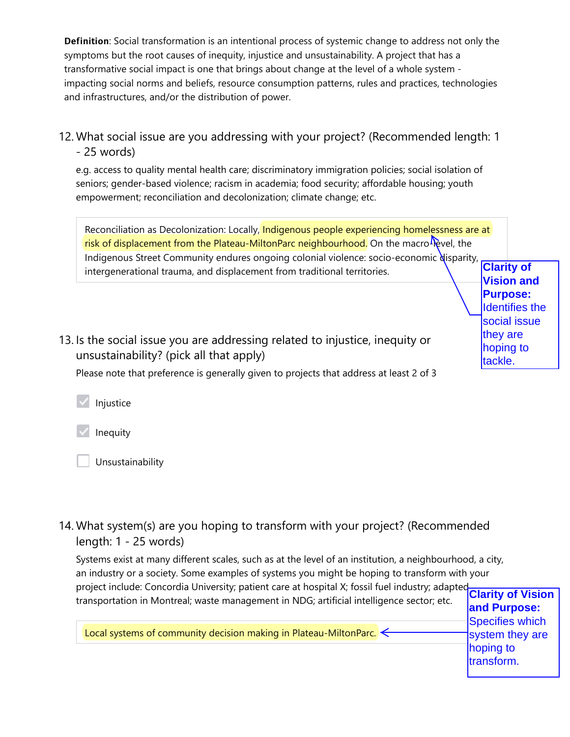Definition: Social transformation is an intentional process of systemic change to address not only the symptoms but the root causes of inequity, injustice and unsustainability. A project that has a transformative social impact is one that brings about change at the level of a whole system impacting social norms and beliefs, resource consumption patterns, rules and practices, technologies and infrastructures, and/or the distribution of power.

12. What social issue are you addressing with your project? (Recommended length: 1 - 25 words)

e.g. access to quality mental health care; discriminatory immigration policies; social isolation of seniors; gender-based violence; racism in academia; food security; affordable housing; youth empowerment; reconciliation and decolonization; climate change; etc.

Reconciliation as Decolonization: Locally, Indigenous people experiencing homelessness are at risk of displacement from the Plateau-MiltonParc neighbourhood. On the macro $\Phi$ evel, the Indigenous Street Community endures ongoing colonial violence: socio-economic disparity, intergenerational trauma, and displacement from traditional territories. **Clarity of Vision and** 

13. Is the social issue you are addressing related to injustice, inequity or unsustainability? (pick all that apply)

Please note that preference is generally given to projects that address at least 2 of 3

Injustice

Inequity

Unsustainability

14. What system(s) are you hoping to transform with your project? (Recommended length: 1 - 25 words)

Systems exist at many different scales, such as at the level of an institution, a neighbourhood, a city, an industry or a society. Some examples of systems you might be hoping to transform with your project include: Concordia University; patient care at hospital X; fossil fuel industry; adapted transportation in Montreal; waste management in NDG; artificial intelligence sector; etc.

Local systems of community decision making in Plateau-MiltonParc.

**Purpose:** Identifies the social issue they are hoping to tackle.

transform.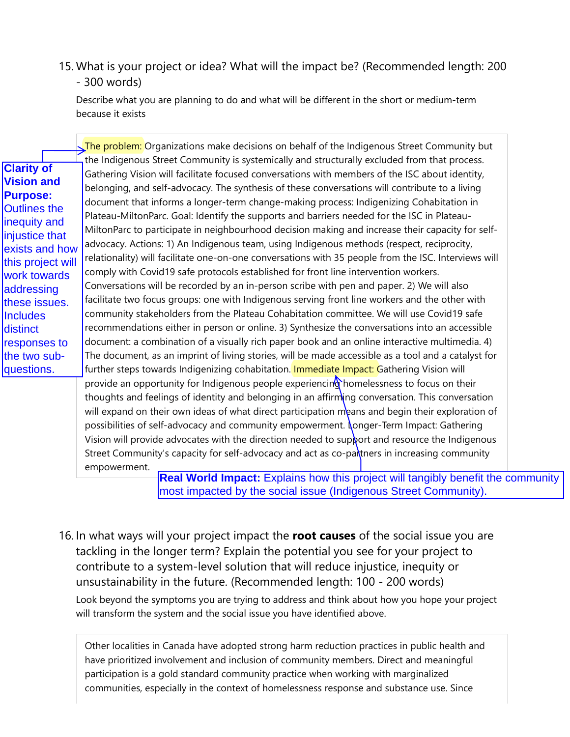## 15. What is your project or idea? What will the impact be? (Recommended length: 200 - 300 words)

Describe what you are planning to do and what will be different in the short or medium-term because it exists

| questions.<br>further steps towards Indigenizing cohabitation. Immediate Impact: Gathering Vision will<br>provide an opportunity for Indigenous people experiencing homelessness to focus on their<br>thoughts and feelings of identity and belonging in an affirming conversation. This conversation<br>will expand on their own ideas of what direct participation means and begin their exploration of<br>possibilities of self-advocacy and community empowerment. Longer-Term Impact: Gathering<br>Vision will provide advocates with the direction needed to support and resource the Indigenous<br>Street Community's capacity for self-advocacy and act as co-partners in increasing community |
|--------------------------------------------------------------------------------------------------------------------------------------------------------------------------------------------------------------------------------------------------------------------------------------------------------------------------------------------------------------------------------------------------------------------------------------------------------------------------------------------------------------------------------------------------------------------------------------------------------------------------------------------------------------------------------------------------------|
| empowerment.                                                                                                                                                                                                                                                                                                                                                                                                                                                                                                                                                                                                                                                                                           |
| <b>Real World Impact:</b> Explains how this project will tangibly benefit the co<br>most impacted by the social issue (Indigenous Street Community).                                                                                                                                                                                                                                                                                                                                                                                                                                                                                                                                                   |

**Real World Impact:** Explains how this project will tangibly benefit the community most impacted by the social issue (Indigenous Street Community).

Look beyond the symptoms you are trying to address and think about how you hope your project will transform the system and the social issue you have identified above. 16. In what ways will your project impact the **root causes** of the social issue you are tackling in the longer term? Explain the potential you see for your project to contribute to a system-level solution that will reduce injustice, inequity or unsustainability in the future. (Recommended length: 100 - 200 words)

Other localities in Canada have adopted strong harm reduction practices in public health and have prioritized involvement and inclusion of community members. Direct and meaningful participation is a gold standard community practice when working with marginalized communities, especially in the context of homelessness response and substance use. Since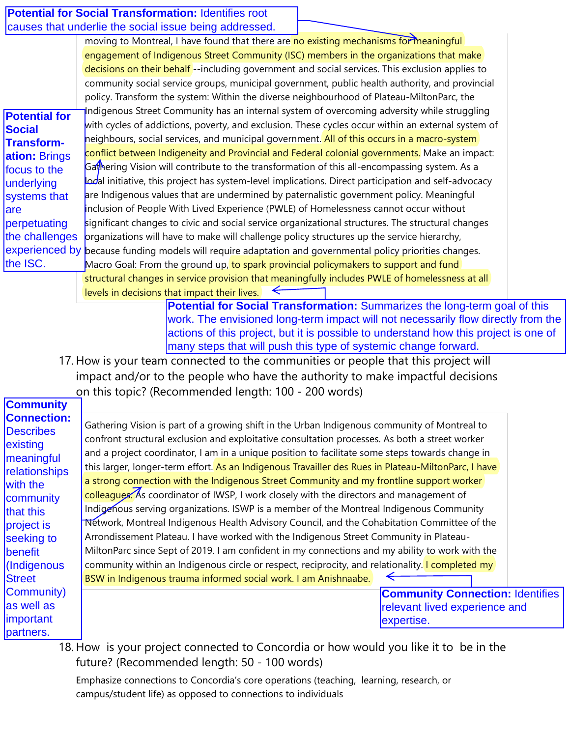|                          | <b>Potential for Social Transformation: Identifies root</b>                                                                                                                            |  |
|--------------------------|----------------------------------------------------------------------------------------------------------------------------------------------------------------------------------------|--|
|                          | causes that underlie the social issue being addressed.                                                                                                                                 |  |
|                          | moving to Montreal, I have found that there are no existing mechanisms for meaningful                                                                                                  |  |
|                          | engagement of Indigenous Street Community (ISC) members in the organizations that make                                                                                                 |  |
|                          | decisions on their behalf --including government and social services. This exclusion applies to                                                                                        |  |
|                          | community social service groups, municipal government, public health authority, and provincial                                                                                         |  |
|                          | policy. Transform the system: Within the diverse neighbourhood of Plateau-MiltonParc, the                                                                                              |  |
| <b>Potential for</b>     | Indigenous Street Community has an internal system of overcoming adversity while struggling                                                                                            |  |
| <b>Social</b>            | with cycles of addictions, poverty, and exclusion. These cycles occur within an external system of                                                                                     |  |
| <b>Transform-</b>        | neighbours, social services, and municipal government. All of this occurs in a macro-system                                                                                            |  |
| ation: Brings            | conflict between Indigeneity and Provincial and Federal colonial governments. Make an impact:                                                                                          |  |
| focus to the             | Gathering Vision will contribute to the transformation of this all-encompassing system. As a                                                                                           |  |
| underlying               | adal initiative, this project has system-level implications. Direct participation and self-advocacy                                                                                    |  |
| systems that             | are Indigenous values that are undermined by paternalistic government policy. Meaningful                                                                                               |  |
| lare                     | Inclusion of People With Lived Experience (PWLE) of Homelessness cannot occur without                                                                                                  |  |
| perpetuating             | significant changes to civic and social service organizational structures. The structural changes                                                                                      |  |
| the challenges           | organizations will have to make will challenge policy structures up the service hierarchy,                                                                                             |  |
| the ISC.                 | experienced by because funding models will require adaptation and governmental policy priorities changes.                                                                              |  |
|                          | Macro Goal: From the ground up, to spark provincial policymakers to support and fund<br>structural changes in service provision that meaningfully includes PWLE of homelessness at all |  |
|                          | levels in decisions that impact their lives.<br>⇐                                                                                                                                      |  |
|                          | Potential for Social Transformation: Summarizes the long-term goal of this                                                                                                             |  |
|                          | work. The envisioned long-term impact will not necessarily flow directly from the                                                                                                      |  |
|                          | actions of this project, but it is possible to understand how this project is one of                                                                                                   |  |
|                          | many steps that will push this type of systemic change forward.                                                                                                                        |  |
|                          |                                                                                                                                                                                        |  |
|                          | 17. How is your team connected to the communities or people that this project will                                                                                                     |  |
|                          |                                                                                                                                                                                        |  |
|                          | impact and/or to the people who have the authority to make impactful decisions                                                                                                         |  |
| <b>Community</b>         | on this topic? (Recommended length: 100 - 200 words)                                                                                                                                   |  |
| <b>Connection:</b>       |                                                                                                                                                                                        |  |
| <b>Describes</b>         | Gathering Vision is part of a growing shift in the Urban Indigenous community of Montreal to                                                                                           |  |
| existing                 | confront structural exclusion and exploitative consultation processes. As both a street worker                                                                                         |  |
| meaningful               | and a project coordinator, I am in a unique position to facilitate some steps towards change in                                                                                        |  |
| relationships            | this larger, longer-term effort. As an Indigenous Travailler des Rues in Plateau-MiltonParc, I have                                                                                    |  |
| with the                 | a strong connection with the Indigenous Street Community and my frontline support worker                                                                                               |  |
| community                | colleagues. As coordinator of IWSP, I work closely with the directors and management of                                                                                                |  |
| that this                | Indigenous serving organizations. ISWP is a member of the Montreal Indigenous Community                                                                                                |  |
| project is               | Network, Montreal Indigenous Health Advisory Council, and the Cohabitation Committee of the                                                                                            |  |
| seeking to               | Arrondissement Plateau. I have worked with the Indigenous Street Community in Plateau-                                                                                                 |  |
| benefit                  | MiltonParc since Sept of 2019. I am confident in my connections and my ability to work with the                                                                                        |  |
| (Indigenous              | community within an Indigenous circle or respect, reciprocity, and relationality. I completed my                                                                                       |  |
| <b>Street</b>            | BSW in Indigenous trauma informed social work. I am Anishnaabe.                                                                                                                        |  |
| Community)<br>as well as | <b>Community Connection: Identifies</b>                                                                                                                                                |  |
| important                | relevant lived experience and<br>expertise.                                                                                                                                            |  |

18. How is your project connected to Concordia or how would you like it to be in the future? (Recommended length: 50 - 100 words)

Emphasize connections to Concordia's core operations (teaching, learning, research, or campus/student life) as opposed to connections to individuals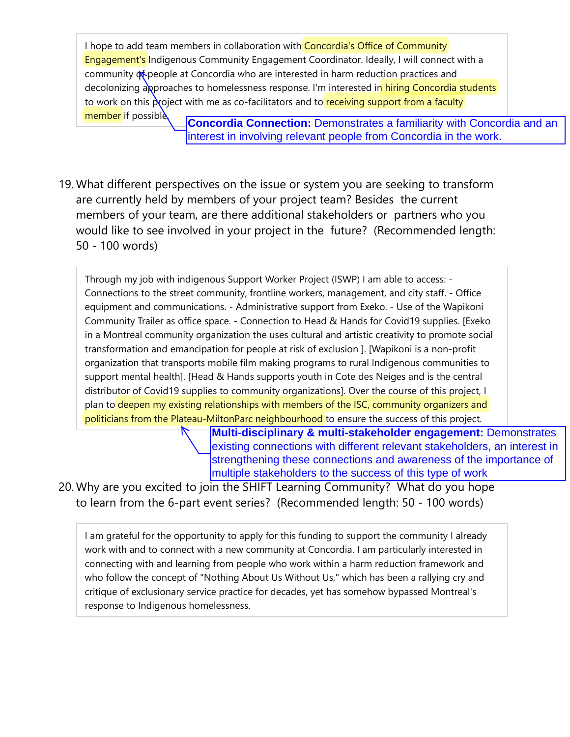I hope to add team members in collaboration with Concordia's Office of Community Engagement's Indigenous Community Engagement Coordinator. Ideally, I will connect with a community of people at Concordia who are interested in harm reduction practices and decolonizing approaches to homelessness response. I'm interested in hiring Concordia students to work on this project with me as co-facilitators and to receiving support from a faculty member if possible **Concordia Connection:** Demonstrates a familiarity with Concordia and an

interest in involving relevant people from Concordia in the work.

What different perspectives on the issue or system you are seeking to transform 19. are currently held by members of your project team? Besides the current members of your team, are there additional stakeholders or partners who you would like to see involved in your project in the future? (Recommended length: 50 - 100 words)

Through my job with indigenous Support Worker Project (ISWP) I am able to access: - Connections to the street community, frontline workers, management, and city staff. - Office equipment and communications. - Administrative support from Exeko. - Use of the Wapikoni Community Trailer as office space. - Connection to Head & Hands for Covid19 supplies. [Exeko in a Montreal community organization the uses cultural and artistic creativity to promote social transformation and emancipation for people at risk of exclusion ]. [Wapikoni is a non-profit organization that transports mobile film making programs to rural Indigenous communities to support mental health]. [Head & Hands supports youth in Cote des Neiges and is the central distributor of Covid19 supplies to community organizations]. Over the course of this project, I plan to deepen my existing relationships with members of the ISC, community organizers and politicians from the Plateau-MiltonParc neighbourhood to ensure the success of this project.

> **Multi-disciplinary & multi-stakeholder engagement:** Demonstrates existing connections with different relevant stakeholders, an interest in strengthening these connections and awareness of the importance of multiple stakeholders to the success of this type of work

20. Why are you excited to join the SHIFT Learning Community? What do you hope to learn from the 6-part event series? (Recommended length: 50 - 100 words)

I am grateful for the opportunity to apply for this funding to support the community I already work with and to connect with a new community at Concordia. I am particularly interested in connecting with and learning from people who work within a harm reduction framework and who follow the concept of "Nothing About Us Without Us," which has been a rallying cry and critique of exclusionary service practice for decades, yet has somehow bypassed Montreal's response to Indigenous homelessness.